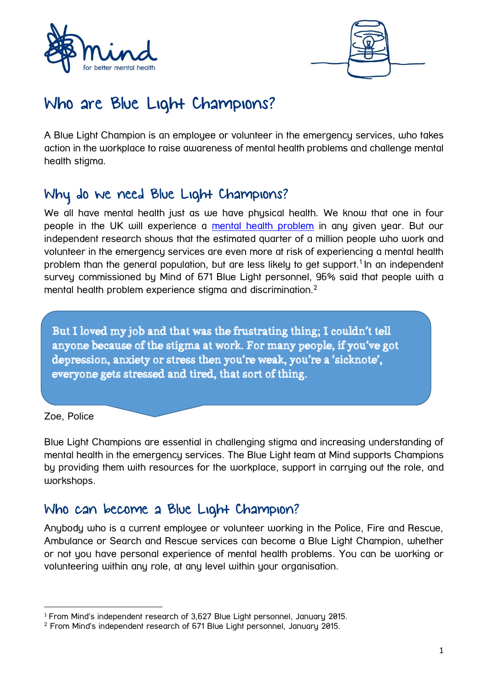



# Who are Blue Light Champions?

A Blue Light Champion is an employee or volunteer in the emergency services, who takes action in the workplace to raise awareness of mental health problems and challenge mental health stigma.

# Why do we need Blue Light Champions?

We all have mental health just as we have physical health. We know that one in four people in the UK will experience a [mental health problem](http://www.mind.org.uk/information-support/types-of-mental-health-problems/mental-health-problems-general) in any given year. But our independent research shows that the estimated quarter of a million people who work and volunteer in the emergency services are even more at risk of experiencing a mental health problem than the general population, but are less likely to get support.<sup>1</sup> In an independent survey commissioned by Mind of 671 Blue Light personnel, 96% said that people with a mental health problem experience stigma and discrimination.<sup>2</sup>

But I loved my job and that was the frustrating thing; I couldn't tell anyone because of the stigma at work. For many people, if you've got depression, anxiety or stress then you're weak, you're a 'sicknote', everyone gets stressed and tired, that sort of thing.

#### Zoe, Police

**.** 

Blue Light Champions are essential in challenging stigma and increasing understanding of mental health in the emergency services. The Blue Light team at Mind supports Champions by providing them with resources for the workplace, support in carrying out the role, and workshops.

### Who can become a Blue Light Champion?

Anybody who is a current employee or volunteer working in the Police, Fire and Rescue, Ambulance or Search and Rescue services can become a Blue Light Champion, whether or not you have personal experience of mental health problems. You can be working or volunteering within any role, at any level within your organisation.

<sup>1</sup> From Mind's independent research of 3,627 Blue Light personnel, January 2015.

<sup>2</sup> From Mind's independent research of 671 Blue Light personnel, January 2015.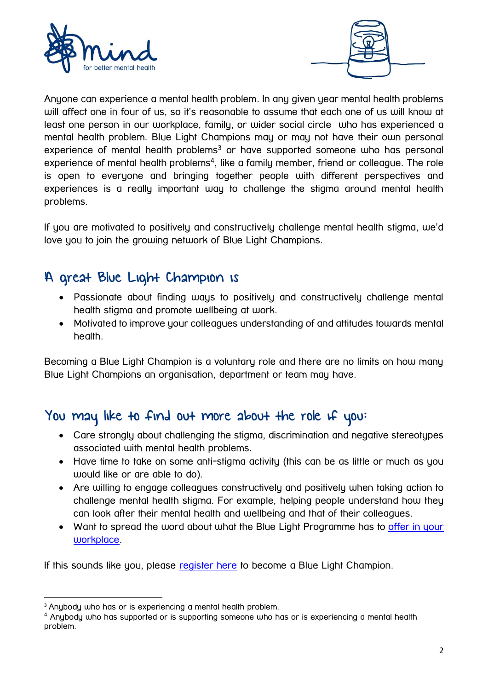



Anyone can experience a mental health problem. In any given year mental health problems will affect one in four of us, so it's reasonable to assume that each one of us will know at least one person in our workplace, family, or wider social circle who has experienced a mental health problem. Blue Light Champions may or may not have their own personal experience of mental health problems<sup>3</sup> or have supported someone who has personal experience of mental health problems<sup>4</sup>, like a family member, friend or colleague. The role is open to everyone and bringing together people with different perspectives and experiences is a really important way to challenge the stigma around mental health problems.

If you are motivated to positively and constructively challenge mental health stigma, we'd love you to join the growing network of Blue Light Champions.

## A great Blue Light Champion is

- Passionate about finding ways to positively and constructively challenge mental health stigma and promote wellbeing at work.
- Motivated to improve your colleagues understanding of and attitudes towards mental health.

Becoming a Blue Light Champion is a voluntary role and there are no limits on how many Blue Light Champions an organisation, department or team may have.

## You may like to find out more about the role if you:

- Care strongly about challenging the stigma, discrimination and negative stereotypes associated with mental health problems.
- Have time to take on some anti-stigma activity (this can be as little or much as you would like or are able to do).
- Are willing to engage colleagues constructively and positively when taking action to challenge mental health stigma. For example, helping people understand how they can look after their mental health and wellbeing and that of their colleagues.
- Want to spread the word about what the Blue Light Programme has to offer in your [workplace.](http://www.mind.org.uk/news-campaigns/campaigns/bluelight/)

If this sounds like you, please [register here](http://www.mind.org.uk/bluelightchampions) to become a Blue Light Champion.

**<sup>.</sup>** <sup>3</sup> Anubody who has or is experiencing a mental health problem.

<sup>&</sup>lt;sup>4</sup> Anybody who has supported or is supporting someone who has or is experiencing a mental health problem.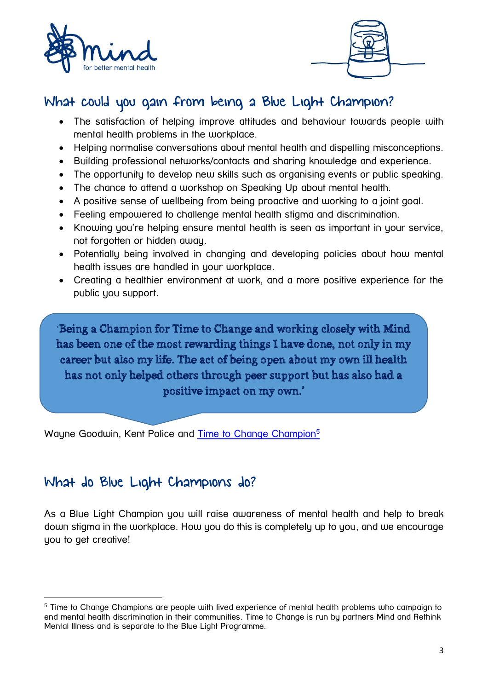



# What could you gain from being a Blue Light Champion?

- The satisfaction of helping improve attitudes and behaviour towards people with mental health problems in the workplace.
- Helping normalise conversations about mental health and dispelling misconceptions.
- Building professional networks/contacts and sharing knowledge and experience.
- The opportunity to develop new skills such as organising events or public speaking.
- The chance to attend a workshop on Speaking Up about mental health.
- A positive sense of wellbeing from being proactive and working to a joint goal.
- Feeling empowered to challenge mental health stigma and discrimination.
- Knowing you're helping ensure mental health is seen as important in your service, not forgotten or hidden away.
- Potentially being involved in changing and developing policies about how mental health issues are handled in your workplace.
- Creating a healthier environment at work, and a more positive experience for the public you support.

'Being a Champion for Time to Change and working closely with Mind has been one of the most rewarding things I have done, not only in my career but also my life. The act of being open about my own ill health has not only helped others through peer support but has also had a positive impact on my own.'

Wayne Goodwin, Kent Police and [Time to Change Champion](http://www.time-to-change.org.uk/)<sup>5</sup>

# What do Blue Light Champions do?

 $\overline{\phantom{0}}$ 

1

As a Blue Light Champion you will raise awareness of mental health and help to break down stigma in the workplace. How you do this is completely up to you, and we encourage you to get creative!

<sup>5</sup> Time to Change Champions are people with lived experience of mental health problems who campaign to end mental health discrimination in their communities. Time to Change is run by partners Mind and Rethink Mental Illness and is separate to the Blue Light Programme.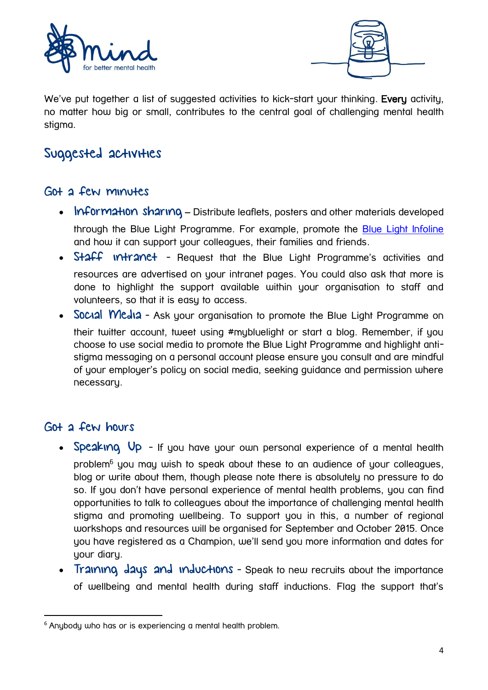



We've put together a list of suggested activities to kick-start your thinking. Every activity, no matter how big or small, contributes to the central goal of challenging mental health stigma.

# Suggested activities

### Got a few minutes

- Information sharing Distribute leaflets, posters and other materials developed through the Blue Light Programme. For example, promote the [Blue Light Infoline](http://www.mind.org.uk/news-campaigns/campaigns/bluelight/blue-light-infoline/) and how it can support your colleagues, their families and friends.
- Staff intranct Request that the Blue Light Programme's activities and resources are advertised on your intranet pages. You could also ask that more is done to highlight the support available within your organisation to staff and volunteers, so that it is easy to access.
- Social Media Ask your organisation to promote the Blue Light Programme on their twitter account, tweet using #mybluelight or start a blog. Remember, if you choose to use social media to promote the Blue Light Programme and highlight antistigma messaging on a personal account please ensure you consult and are mindful of your employer's policy on social media, seeking guidance and permission where necessary.

### Got a few hours

 $\overline{a}$ 

- Speaking Up If you have your own personal experience of a mental health problem<sup>6</sup> you may wish to speak about these to an audience of your colleagues, blog or write about them, though please note there is absolutely no pressure to do so. If you don't have personal experience of mental health problems, you can find opportunities to talk to colleagues about the importance of challenging mental health stigma and promoting wellbeing. To support you in this, a number of regional workshops and resources will be organised for September and October 2015. Once you have registered as a Champion, we'll send you more information and dates for your diary.
- Training days and inductions Speak to new recruits about the importance of wellbeing and mental health during staff inductions. Flag the support that's

 $6$  Anybody who has or is experiencing a mental health problem.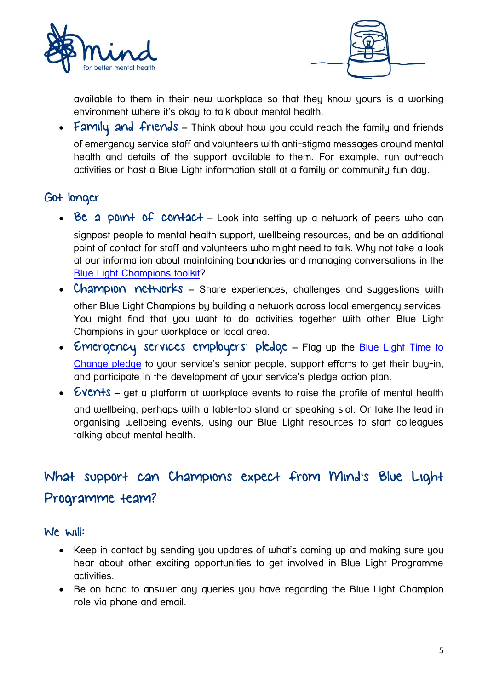



available to them in their new workplace so that they know yours is a working environment where it's okay to talk about mental health.

• Family and friends – Think about how you could reach the family and friends of emergency service staff and volunteers with anti-stigma messages around mental health and details of the support available to them. For example, run outreach activities or host a Blue Light information stall at a family or community fun day.

### Got longer

- $\bullet$  Be a point of contact Look into setting up a network of peers who can signpost people to mental health support, wellbeing resources, and be an additional point of contact for staff and volunteers who might need to talk. Why not take a look at our information about maintaining boundaries and managing conversations in the [Blue Light Champions toolkit?](http://www.mind.org.uk/news-campaigns/campaigns/bluelight/get-involved-as-an-individual/champions/blue-light-champions-toolkit/)
- Champion networks Share experiences, challenges and suggestions with other Blue Light Champions by building a network across local emergency services. You might find that you want to do activities together with other Blue Light Champions in your workplace or local area.
- Emergency services employers' pledge Flag up the **Blue Light Time to** [Change pledge](http://www.mind.org.uk/news-campaigns/campaigns/bluelight/blue-light-time-to-change-pledge/) to your service's senior people, support efforts to get their buy-in, and participate in the development of your service's pledge action plan.
- Events get a platform at workplace events to raise the profile of mental health and wellbeing, perhaps with a table-top stand or speaking slot. Or take the lead in organising wellbeing events, using our Blue Light resources to start colleagues talking about mental health.

# What support can Champions expect from Mind's Blue Light Programme team?

#### We will:

- Keep in contact by sending you updates of what's coming up and making sure you hear about other exciting opportunities to get involved in Blue Light Programme activities.
- Be on hand to answer any queries you have regarding the Blue Light Champion role via phone and email.